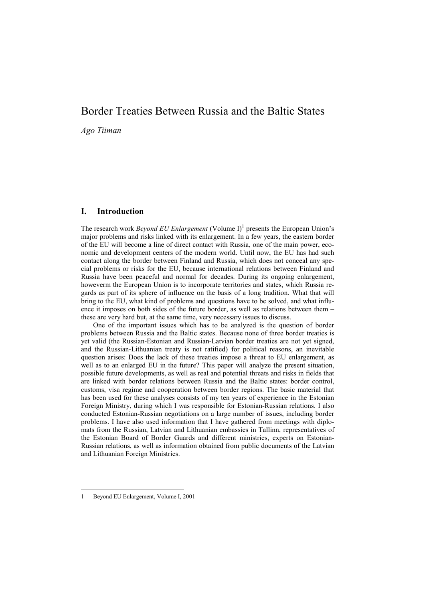# Border Treaties Between Russia and the Baltic States

*Ago Tiiman*

## **I. Introduction**

The research work *Beyond EU Enlargement* (Volume I)<sup>1</sup> presents the European Union's major problems and risks linked with its enlargement. In a few years, the eastern border of the EU will become a line of direct contact with Russia, one of the main power, economic and development centers of the modern world. Until now, the EU has had such contact along the border between Finland and Russia, which does not conceal any special problems or risks for the EU, because international relations between Finland and Russia have been peaceful and normal for decades. During its ongoing enlargement, howeverm the European Union is to incorporate territories and states, which Russia regards as part of its sphere of influence on the basis of a long tradition. What that will bring to the EU, what kind of problems and questions have to be solved, and what influence it imposes on both sides of the future border, as well as relations between them – these are very hard but, at the same time, very necessary issues to discuss.

One of the important issues which has to be analyzed is the question of border problems between Russia and the Baltic states. Because none of three border treaties is yet valid (the Russian-Estonian and Russian-Latvian border treaties are not yet signed, and the Russian-Lithuanian treaty is not ratified) for political reasons, an inevitable question arises: Does the lack of these treaties impose a threat to EU enlargement, as well as to an enlarged EU in the future? This paper will analyze the present situation, possible future developments, as well as real and potential threats and risks in fields that are linked with border relations between Russia and the Baltic states: border control, customs, visa regime and cooperation between border regions. The basic material that has been used for these analyses consists of my ten years of experience in the Estonian Foreign Ministry, during which I was responsible for Estonian-Russian relations. I also conducted Estonian-Russian negotiations on a large number of issues, including border problems. I have also used information that I have gathered from meetings with diplomats from the Russian, Latvian and Lithuanian embassies in Tallinn, representatives of the Estonian Board of Border Guards and different ministries, experts on Estonian-Russian relations, as well as information obtained from public documents of the Latvian and Lithuanian Foreign Ministries.

<sup>1</sup> Beyond EU Enlargement, Volume I, 2001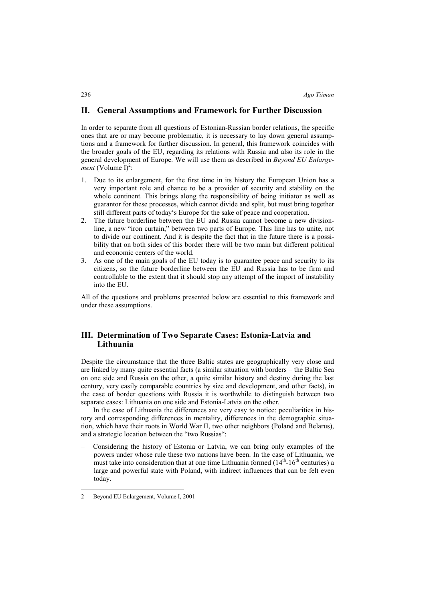#### **II. General Assumptions and Framework for Further Discussion**

In order to separate from all questions of Estonian-Russian border relations, the specific ones that are or may become problematic, it is necessary to lay down general assumptions and a framework for further discussion. In general, this framework coincides with the broader goals of the EU, regarding its relations with Russia and also its role in the general development of Europe. We will use them as described in *Beyond EU Enlargement* (Volume  $I$ )<sup>2</sup>:

- Due to its enlargement, for the first time in its history the European Union has a very important role and chance to be a provider of security and stability on the whole continent. This brings along the responsibility of being initiator as well as guarantor for these processes, which cannot divide and split, but must bring together still different parts of today's Europe for the sake of peace and cooperation.
- 2. The future borderline between the EU and Russia cannot become a new divisionline, a new "iron curtain," between two parts of Europe. This line has to unite, not to divide our continent. And it is despite the fact that in the future there is a possibility that on both sides of this border there will be two main but different political and economic centers of the world.
- 3. As one of the main goals of the EU today is to guarantee peace and security to its citizens, so the future borderline between the EU and Russia has to be firm and controllable to the extent that it should stop any attempt of the import of instability into the EU.

All of the questions and problems presented below are essential to this framework and under these assumptions.

### **III. Determination of Two Separate Cases: Estonia-Latvia and Lithuania**

Despite the circumstance that the three Baltic states are geographically very close and are linked by many quite essential facts (a similar situation with borders – the Baltic Sea on one side and Russia on the other, a quite similar history and destiny during the last century, very easily comparable countries by size and development, and other facts), in the case of border questions with Russia it is worthwhile to distinguish between two separate cases: Lithuania on one side and Estonia-Latvia on the other.

In the case of Lithuania the differences are very easy to notice: peculiarities in history and corresponding differences in mentality, differences in the demographic situation, which have their roots in World War II, two other neighbors (Poland and Belarus), and a strategic location between the "two Russias":

– Considering the history of Estonia or Latvia, we can bring only examples of the powers under whose rule these two nations have been. In the case of Lithuania, we must take into consideration that at one time Lithuania formed  $(14<sup>th</sup> - 16<sup>th</sup>$  centuries) a large and powerful state with Poland, with indirect influences that can be felt even today.

<sup>2</sup> Beyond EU Enlargement, Volume I, 2001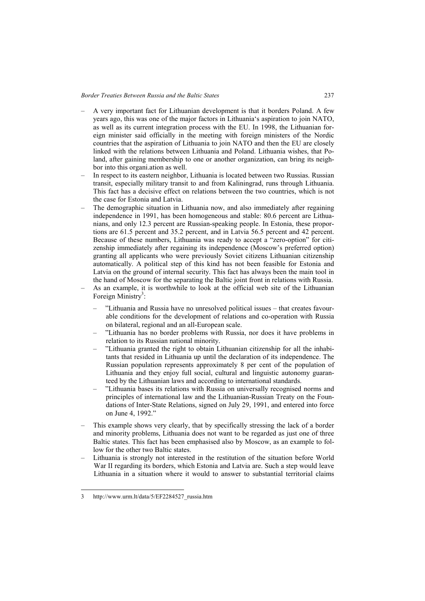- A very important fact for Lithuanian development is that it borders Poland. A few years ago, this was one of the major factors in Lithuania's aspiration to join NATO, as well as its current integration process with the EU. In 1998, the Lithuanian foreign minister said officially in the meeting with foreign ministers of the Nordic countries that the aspiration of Lithuania to join NATO and then the EU are closely linked with the relations between Lithuania and Poland. Lithuania wishes, that Poland, after gaining membership to one or another organization, can bring its neighbor into this organi.ation as well.
- In respect to its eastern neighbor, Lithuania is located between two Russias. Russian transit, especially military transit to and from Kaliningrad, runs through Lithuania. This fact has a decisive effect on relations between the two countries, which is not the case for Estonia and Latvia.
- The demographic situation in Lithuania now, and also immediately after regaining independence in 1991, has been homogeneous and stable: 80.6 percent are Lithuanians, and only 12.3 percent are Russian-speaking people. In Estonia, these proportions are 61.5 percent and 35.2 percent, and in Latvia 56.5 percent and 42 percent. Because of these numbers, Lithuania was ready to accept a "zero-option" for citizenship immediately after regaining its independence (Moscow's preferred option) granting all applicants who were previously Soviet citizens Lithuanian citizenship automatically. A political step of this kind has not been feasible for Estonia and Latvia on the ground of internal security. This fact has always been the main tool in the hand of Moscow for the separating the Baltic joint front in relations with Russia. – As an example, it is worthwhile to look at the official web site of the Lithuanian
	- Foreign Ministry<sup>3</sup>: – "Lithuania and Russia have no unresolved political issues – that creates favour
		- able conditions for the development of relations and co-operation with Russia on bilateral, regional and an all-European scale.
		- "Lithuania has no border problems with Russia, nor does it have problems in relation to its Russian national minority.
		- "Lithuania granted the right to obtain Lithuanian citizenship for all the inhabitants that resided in Lithuania up until the declaration of its independence. The Russian population represents approximately 8 per cent of the population of Lithuania and they enjoy full social, cultural and linguistic autonomy guaranteed by the Lithuanian laws and according to international standards.
		- "Lithuania bases its relations with Russia on universally recognised norms and principles of international law and the Lithuanian-Russian Treaty on the Foundations of Inter-State Relations, signed on July 29, 1991, and entered into force on June 4, 1992."
- This example shows very clearly, that by specifically stressing the lack of a border and minority problems, Lithuania does not want to be regarded as just one of three Baltic states. This fact has been emphasised also by Moscow, as an example to follow for the other two Baltic states.
- Lithuania is strongly not interested in the restitution of the situation before World War II regarding its borders, which Estonia and Latvia are. Such a step would leave Lithuania in a situation where it would to answer to substantial territorial claims

<sup>3</sup> http://www.urm.lt/data/5/EF2284527\_russia.htm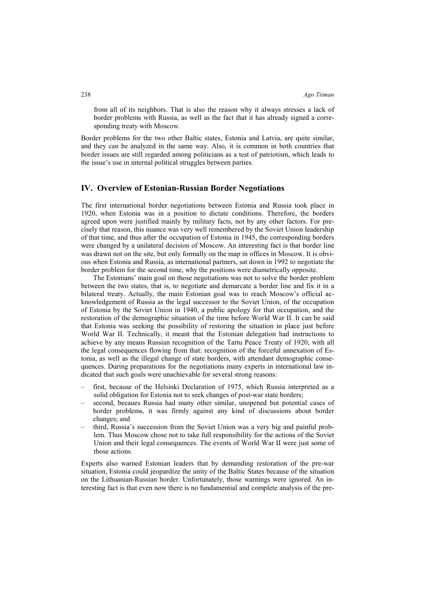from all of its neighbors. That is also the reason why it always stresses a lack of border problems with Russia, as well as the fact that it has already signed a corresponding treaty with Moscow.

Border problems for the two other Baltic states, Estonia and Latvia, are quite similar, and they can be analyzed in the same way. Also, it is common in both countries that border issues are still regarded among politicians as a test of patriotism, which leads to the issue's use in internal political struggles between parties.

#### **IV. Overview of Estonian-Russian Border Negotiations**

The first international border negotiations between Estonia and Russia took place in 1920, when Estonia was in a position to dictate conditions. Therefore, the borders agreed upon were justified mainly by military facts, not by any other factors. For precisely that reason, this nuance was very well remembered by the Soviet Union leadership of that time, and thus after the occupation of Estonia in 1945, the corresponding borders were changed by a unilateral decision of Moscow. An interesting fact is that border line was drawn not on the site, but only formally on the map in offices in Moscow. It is obvious when Estonia and Russia, as international partners, sat down in 1992 to negotiate the border problem for the second time, why the positions were diametrically opposite.

The Estonians' main goal on those negotiations was not to solve the border problem between the two states, that is, to negotiate and demarcate a border line and fix it in a bilateral treaty. Actually, the main Estonian goal was to reach Moscow's official acknowledgement of Russia as the legal successor to the Soviet Union, of the occupation of Estonia by the Soviet Union in 1940, a public apology for that occupation, and the restoration of the demographic situation of the time before World War II. It can be said that Estonia was seeking the possibility of restoring the situation in place just before World War II. Technically, it meant that the Estonian delegation had instructions to achieve by any means Russian recognition of the Tartu Peace Treaty of 1920, with all the legal consequences flowing from that: recognition of the forceful annexation of Estonia, as well as the illegal change of state borders, with attendant demographic consequences. During preparations for the negotiations many experts in international law indicated that such goals were unachievable for several strong reasons:

- first, because of the Helsinki Declaration of 1975, which Russia interpreted as a solid obligation for Estonia not to seek changes of post-war state borders;
- second, becaues Russia had many other similar, unopened but potential cases of border problems, it was firmly against any kind of discussions about border changes; and
- third, Russia's succession from the Soviet Union was a very big and painful problem. Thus Moscow chose not to take full responsibility for the actions of the Soviet Union and their legal consequences. The events of World War II were just some of those actions.

Experts also warned Estonian leaders that by demanding restoration of the pre-war situation, Estonia could jeopardize the unity of the Baltic States because of the situation on the Lithuanian-Russian border. Unfortunately, those warnings were ignored. An interesting fact is that even now there is no fundamential and complete analysis of the pre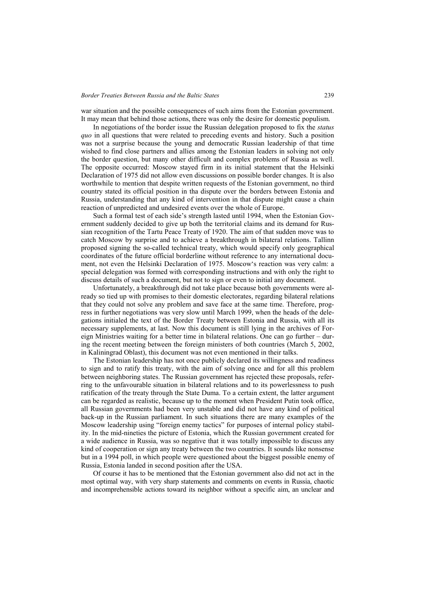war situation and the possible consequences of such aims from the Estonian government. It may mean that behind those actions, there was only the desire for domestic populism.

In negotiations of the border issue the Russian delegation proposed to fix the *status quo* in all questions that were related to preceding events and history. Such a position was not a surprise because the young and democratic Russian leadership of that time wished to find close partners and allies among the Estonian leaders in solving not only the border question, but many other difficult and complex problems of Russia as well. The opposite occurred: Moscow stayed firm in its initial statement that the Helsinki Declaration of 1975 did not allow even discussions on possible border changes. It is also worthwhile to mention that despite written requests of the Estonian government, no third country stated its official position in tha dispute over the borders between Estonia and Russia, understanding that any kind of intervention in that dispute might cause a chain reaction of unpredicted and undesired events over the whole of Europe.

Such a formal test of each side's strength lasted until 1994, when the Estonian Government suddenly decided to give up both the territorial claims and its demand for Russian recognition of the Tartu Peace Treaty of 1920. The aim of that sudden move was to catch Moscow by surprise and to achieve a breakthrough in bilateral relations. Tallinn proposed signing the so-called technical treaty, which would specify only geographical coordinates of the future official borderline without reference to any international document, not even the Helsinki Declaration of 1975. Moscow's reaction was very calm: a special delegation was formed with corresponding instructions and with only the right to discuss details of such a document, but not to sign or even to initial any document.

Unfortunately, a breakthrough did not take place because both governments were already so tied up with promises to their domestic electorates, regarding bilateral relations that they could not solve any problem and save face at the same time. Therefore, progress in further negotiations was very slow until March 1999, when the heads of the delegations initialed the text of the Border Treaty between Estonia and Russia, with all its necessary supplements, at last. Now this document is still lying in the archives of Foreign Ministries waiting for a better time in bilateral relations. One can go further – during the recent meeting between the foreign ministers of both countries (March 5, 2002, in Kaliningrad Oblast), this document was not even mentioned in their talks.

The Estonian leadership has not once publicly declared its willingness and readiness to sign and to ratify this treaty, with the aim of solving once and for all this problem between neighboring states. The Russian government has rejected these proposals, referring to the unfavourable situation in bilateral relations and to its powerlessness to push ratification of the treaty through the State Duma. To a certain extent, the latter argument can be regarded as realistic, because up to the moment when President Putin took office, all Russian governments had been very unstable and did not have any kind of political back-up in the Russian parliament. In such situations there are many examples of the Moscow leadership using "foreign enemy tactics" for purposes of internal policy stability. In the mid-nineties the picture of Estonia, which the Russian government created for a wide audience in Russia, was so negative that it was totally impossible to discuss any kind of cooperation or sign any treaty between the two countries. It sounds like nonsense but in a 1994 poll, in which people were questioned about the biggest possible enemy of Russia, Estonia landed in second position after the USA.

Of course it has to be mentioned that the Estonian government also did not act in the most optimal way, with very sharp statements and comments on events in Russia, chaotic and incomprehensible actions toward its neighbor without a specific aim, an unclear and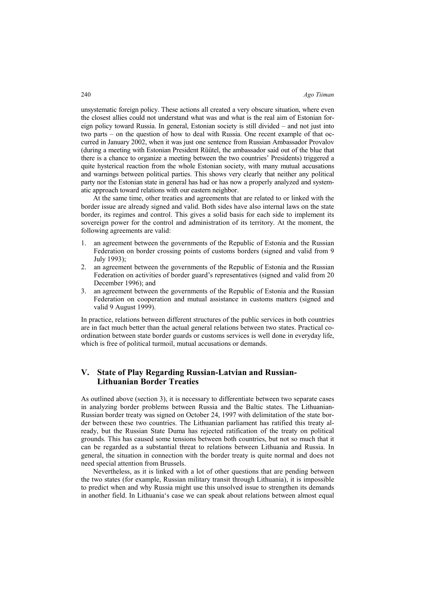unsystematic foreign policy. These actions all created a very obscure situation, where even the closest allies could not understand what was and what is the real aim of Estonian foreign policy toward Russia. In general, Estonian society is still divided – and not just into two parts – on the question of how to deal with Russia. One recent example of that occurred in January 2002, when it was just one sentence from Russian Ambassador Provalov (during a meeting with Estonian President Rüütel, the ambassador said out of the blue that there is a chance to organize a meeting between the two countries' Presidents) triggered a quite hysterical reaction from the whole Estonian society, with many mutual accusations and warnings between political parties. This shows very clearly that neither any political party nor the Estonian state in general has had or has now a properly analyzed and systematic approach toward relations with our eastern neighbor.

At the same time, other treaties and agreements that are related to or linked with the border issue are already signed and valid. Both sides have also internal laws on the state border, its regimes and control. This gives a solid basis for each side to implement its sovereign power for the control and administration of its territory. At the moment, the following agreements are valid:

- 1. an agreement between the governments of the Republic of Estonia and the Russian Federation on border crossing points of customs borders (signed and valid from 9 July 1993);
- 2. an agreement between the governments of the Republic of Estonia and the Russian Federation on activities of border guard's representatives (signed and valid from 20 December 1996); and
- 3. an agreement between the governments of the Republic of Estonia and the Russian Federation on cooperation and mutual assistance in customs matters (signed and valid 9 August 1999).

In practice, relations between different structures of the public services in both countries are in fact much better than the actual general relations between two states. Practical coordination between state border guards or customs services is well done in everyday life, which is free of political turmoil, mutual accusations or demands.

### **V. State of Play Regarding Russian-Latvian and Russian-Lithuanian Border Treaties**

As outlined above (section 3), it is necessary to differentiate between two separate cases in analyzing border problems between Russia and the Baltic states. The Lithuanian-Russian border treaty was signed on October 24, 1997 with delimitation of the state border between these two countries. The Lithuanian parliament has ratified this treaty already, but the Russian State Duma has rejected ratification of the treaty on political grounds. This has caused some tensions between both countries, but not so much that it can be regarded as a substantial threat to relations between Lithuania and Russia. In general, the situation in connection with the border treaty is quite normal and does not need special attention from Brussels.

Nevertheless, as it is linked with a lot of other questions that are pending between the two states (for example, Russian military transit through Lithuania), it is impossible to predict when and why Russia might use this unsolved issue to strengthen its demands in another field. In Lithuania's case we can speak about relations between almost equal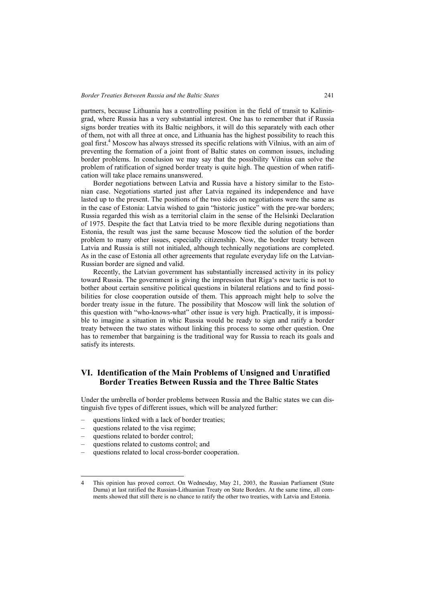partners, because Lithuania has a controlling position in the field of transit to Kaliningrad, where Russia has a very substantial interest. One has to remember that if Russia signs border treaties with its Baltic neighbors, it will do this separately with each other of them, not with all three at once, and Lithuania has the highest possibility to reach this goal first.<sup>4</sup> Moscow has always stressed its specific relations with Vilnius, with an aim of preventing the formation of a joint front of Baltic states on common issues, including border problems. In conclusion we may say that the possibility Vilnius can solve the problem of ratification of signed border treaty is quite high. The question of when ratification will take place remains unanswered.

Border negotiations between Latvia and Russia have a history similar to the Estonian case. Negotiations started just after Latvia regained its independence and have lasted up to the present. The positions of the two sides on negotiations were the same as in the case of Estonia: Latvia wished to gain "historic justice" with the pre-war borders; Russia regarded this wish as a territorial claim in the sense of the Helsinki Declaration of 1975. Despite the fact that Latvia tried to be more flexible during negotiations than Estonia, the result was just the same because Moscow tied the solution of the border problem to many other issues, especially citizenship. Now, the border treaty between Latvia and Russia is still not initialed, although technically negotiations are completed. As in the case of Estonia all other agreements that regulate everyday life on the Latvian-Russian border are signed and valid.

Recently, the Latvian government has substantially increased activity in its policy toward Russia. The government is giving the impression that Riga's new tactic is not to bother about certain sensitive political questions in bilateral relations and to find possibilities for close cooperation outside of them. This approach might help to solve the border treaty issue in the future. The possibility that Moscow will link the solution of this question with "who-knows-what" other issue is very high. Practically, it is impossible to imagine a situation in whic Russia would be ready to sign and ratify a border treaty between the two states without linking this process to some other question. One has to remember that bargaining is the traditional way for Russia to reach its goals and satisfy its interests.

## **VI. Identification of the Main Problems of Unsigned and Unratified Border Treaties Between Russia and the Three Baltic States**

Under the umbrella of border problems between Russia and the Baltic states we can distinguish five types of different issues, which will be analyzed further:

- questions linked with a lack of border treaties;
- questions related to the visa regime;
- questions related to border control;

- questions related to customs control; and
- questions related to local cross-border cooperation.

<sup>4</sup> This opinion has proved correct. On Wednesday, May 21, 2003, the Russian Parliament (State Duma) at last ratified the Russian-Lithuanian Treaty on State Borders. At the same time, all comments showed that still there is no chance to ratify the other two treaties, with Latvia and Estonia.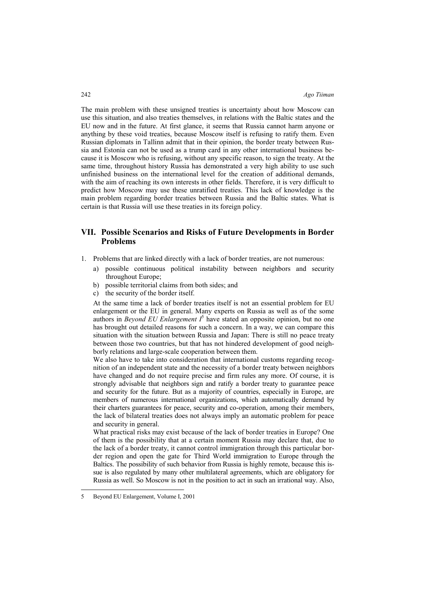The main problem with these unsigned treaties is uncertainty about how Moscow can use this situation, and also treaties themselves, in relations with the Baltic states and the EU now and in the future. At first glance, it seems that Russia cannot harm anyone or anything by these void treaties, because Moscow itself is refusing to ratify them. Even Russian diplomats in Tallinn admit that in their opinion, the border treaty between Russia and Estonia can not be used as a trump card in any other international business because it is Moscow who is refusing, without any specific reason, to sign the treaty. At the same time, throughout history Russia has demonstrated a very high ability to use such unfinished business on the international level for the creation of additional demands, with the aim of reaching its own interests in other fields. Therefore, it is very difficult to predict how Moscow may use these unratified treaties. This lack of knowledge is the main problem regarding border treaties between Russia and the Baltic states. What is certain is that Russia will use these treaties in its foreign policy.

#### **VII. Possible Scenarios and Risks of Future Developments in Border Problems**

- 1. Problems that are linked directly with a lack of border treaties, are not numerous:
	- a) possible continuous political instability between neighbors and security throughout Europe;
	- b) possible territorial claims from both sides; and
	- c) the security of the border itself.

At the same time a lack of border treaties itself is not an essential problem for EU enlargement or the EU in general. Many experts on Russia as well as of the some authors in *Beyond EU Enlargement*  $I^5$  have stated an opposite opinion, but no one has brought out detailed reasons for such a concern. In a way, we can compare this situation with the situation between Russia and Japan: There is still no peace treaty between those two countries, but that has not hindered development of good neighborly relations and large-scale cooperation between them.

We also have to take into consideration that international customs regarding recognition of an independent state and the necessity of a border treaty between neighbors have changed and do not require precise and firm rules any more. Of course, it is strongly advisable that neighbors sign and ratify a border treaty to guarantee peace and security for the future. But as a majority of countries, especially in Europe, are members of numerous international organizations, which automatically demand by their charters guarantees for peace, security and co-operation, among their members, the lack of bilateral treaties does not always imply an automatic problem for peace and security in general.

What practical risks may exist because of the lack of border treaties in Europe? One of them is the possibility that at a certain moment Russia may declare that, due to the lack of a border treaty, it cannot control immigration through this particular border region and open the gate for Third World immigration to Europe through the Baltics. The possibility of such behavior from Russia is highly remote, because this issue is also regulated by many other multilateral agreements, which are obligatory for Russia as well. So Moscow is not in the position to act in such an irrational way. Also,

<sup>5</sup> Beyond EU Enlargement, Volume I, 2001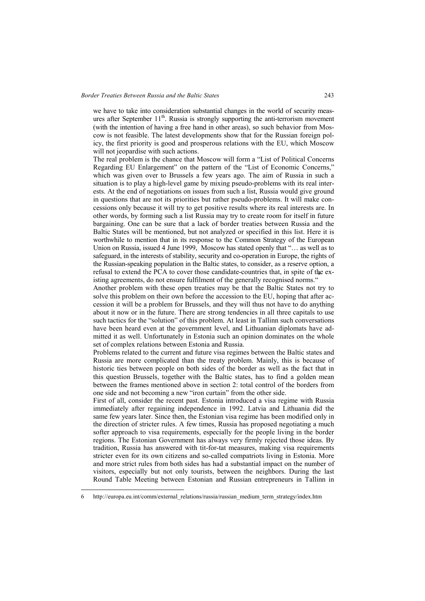we have to take into consideration substantial changes in the world of security measures after September  $11<sup>th</sup>$ . Russia is strongly supporting the anti-terrorism movement (with the intention of having a free hand in other areas), so such behavior from Moscow is not feasible. The latest developments show that for the Russian foreign policy, the first priority is good and prosperous relations with the EU, which Moscow will not jeopardise with such actions.

The real problem is the chance that Moscow will form a "List of Political Concerns Regarding EU Enlargement" on the pattern of the "List of Economic Concerns," which was given over to Brussels a few years ago. The aim of Russia in such a situation is to play a high-level game by mixing pseudo-problems with its real interests. At the end of negotiations on issues from such a list, Russia would give ground in questions that are not its priorities but rather pseudo-problems. It will make concessions only because it will try to get positive results where its real interests are. In other words, by forming such a list Russia may try to create room for itself in future bargaining. One can be sure that a lack of border treaties between Russia and the Baltic States will be mentioned, but not analyzed or specified in this list. Here it is worthwhile to mention that in its response to the Common Strategy of the European Union on Russia, issued 4 June 1999, Moscow has stated openly that "… as well as to safeguard, in the interests of stability, security and co-operation in Europe, the rights of the Russian-speaking population in the Baltic states, to consider, as a reserve option, a refusal to extend the PCA to cover those candidate-countries that, in spite of the ex-6 isting agreements, do not ensure fulfilment of the generally recognised norms."

Another problem with these open treaties may be that the Baltic States not try to solve this problem on their own before the accession to the EU, hoping that after accession it will be a problem for Brussels, and they will thus not have to do anything about it now or in the future. There are strong tendencies in all three capitals to use such tactics for the "solution" of this problem. At least in Tallinn such conversations have been heard even at the government level, and Lithuanian diplomats have admitted it as well. Unfortunately in Estonia such an opinion dominates on the whole set of complex relations between Estonia and Russia.

Problems related to the current and future visa regimes between the Baltic states and Russia are more complicated than the treaty problem. Mainly, this is because of historic ties between people on both sides of the border as well as the fact that in this question Brussels, together with the Baltic states, has to find a golden mean between the frames mentioned above in section 2: total control of the borders from one side and not becoming a new "iron curtain" from the other side.

First of all, consider the recent past. Estonia introduced a visa regime with Russia immediately after regaining independence in 1992. Latvia and Lithuania did the same few years later. Since then, the Estonian visa regime has been modified only in the direction of stricter rules. A few times, Russia has proposed negotiating a much softer approach to visa requirements, especially for the people living in the border regions. The Estonian Government has always very firmly rejected those ideas. By tradition, Russia has answered with tit-for-tat measures, making visa requirements stricter even for its own citizens and so-called compatriots living in Estonia. More and more strict rules from both sides has had a substantial impact on the number of visitors, especially but not only tourists, between the neighbors. During the last Round Table Meeting between Estonian and Russian entrepreneurs in Tallinn in

<sup>6</sup> http://europa.eu.int/comm/external\_relations/russia/russian\_medium\_term\_strategy/index.htm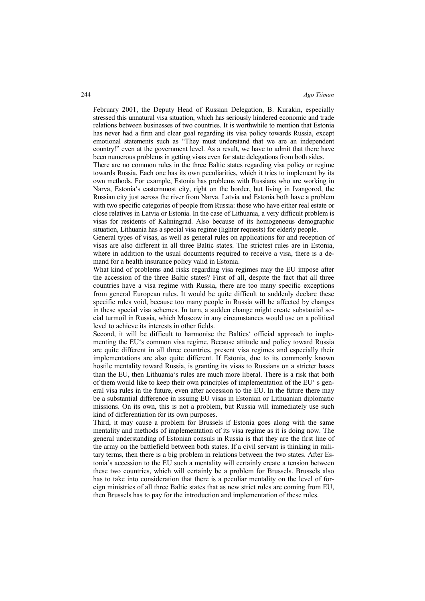February 2001, the Deputy Head of Russian Delegation, B. Kurakin, especially stressed this unnatural visa situation, which has seriously hindered economic and trade relations between businesses of two countries. It is worthwhile to mention that Estonia has never had a firm and clear goal regarding its visa policy towards Russia, except emotional statements such as "They must understand that we are an independent country!" even at the government level. As a result, we have to admit that there have been numerous problems in getting visas even for state delegations from both sides.

There are no common rules in the three Baltic states regarding visa policy or regime towards Russia. Each one has its own peculiarities, which it tries to implement by its own methods. For example, Estonia has problems with Russians who are working in Narva, Estonia's easternmost city, right on the border, but living in Ivangorod, the Russian city just across the river from Narva. Latvia and Estonia both have a problem with two specific categories of people from Russia: those who have either real estate or close relatives in Latvia or Estonia. In the case of Lithuania, a very difficult problem is visas for residents of Kaliningrad. Also because of its homogeneous demographic situation, Lithuania has a special visa regime (lighter requests) for elderly people.

General types of visas, as well as general rules on applications for and reception of visas are also different in all three Baltic states. The strictest rules are in Estonia, where in addition to the usual documents required to receive a visa, there is a demand for a health insurance policy valid in Estonia.

What kind of problems and risks regarding visa regimes may the EU impose after the accession of the three Baltic states? First of all, despite the fact that all three countries have a visa regime with Russia, there are too many specific exceptions from general European rules. It would be quite difficult to suddenly declare these specific rules void, because too many people in Russia will be affected by changes in these special visa schemes. In turn, a sudden change might create substantial social turmoil in Russia, which Moscow in any circumstances would use on a political level to achieve its interests in other fields.

Second, it will be difficult to harmonise the Baltics' official approach to implementing the EU's common visa regime. Because attitude and policy toward Russia are quite different in all three countries, present visa regimes and especially their implementations are also quite different. If Estonia, due to its commonly known hostile mentality toward Russia, is granting its visas to Russians on a stricter bases than the EU, then Lithuania's rules are much more liberal. There is a risk that both of them would like to keep their own principles of implementation of the EU' s general visa rules in the future, even after accession to the EU. In the future there may be a substantial difference in issuing EU visas in Estonian or Lithuanian diplomatic missions. On its own, this is not a problem, but Russia will immediately use such kind of differentiation for its own purposes.

Third, it may cause a problem for Brussels if Estonia goes along with the same mentality and methods of implementation of its visa regime as it is doing now. The general understanding of Estonian consuls in Russia is that they are the first line of the army on the battlefield between both states. If a civil servant is thinking in military terms, then there is a big problem in relations between the two states. After Estonia's accession to the EU such a mentality will certainly create a tension between these two countries, which will certainly be a problem for Brussels. Brussels also has to take into consideration that there is a peculiar mentality on the level of foreign ministries of all three Baltic states that as new strict rules are coming from EU, then Brussels has to pay for the introduction and implementation of these rules.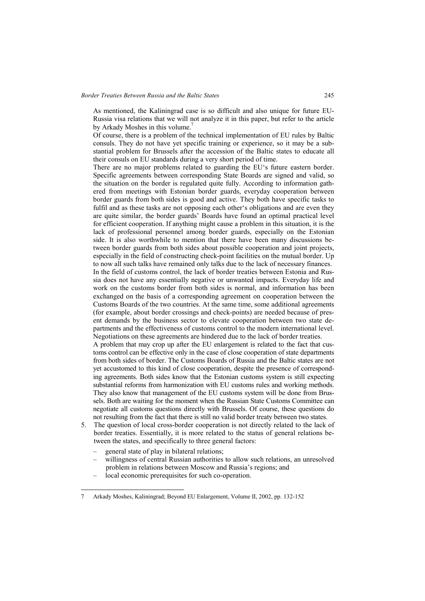As mentioned, the Kaliningrad case is so difficult and also unique for future EU-Russia visa relations that we will not analyze it in this paper, but refer to the article by Arkady Moshes in this volume.<sup>7</sup>

Of course, there is a problem of the technical implementation of EU rules by Baltic consuls. They do not have yet specific training or experience, so it may be a substantial problem for Brussels after the accession of the Baltic states to educate all their consuls on EU standards during a very short period of time.

There are no major problems related to guarding the EU's future eastern border. Specific agreements between corresponding State Boards are signed and valid, so the situation on the border is regulated quite fully. According to information gathered from meetings with Estonian border guards, everyday cooperation between border guards from both sides is good and active. They both have specific tasks to fulfil and as these tasks are not opposing each other's obligations and are even they are quite similar, the border guards' Boards have found an optimal practical level for efficient cooperation. If anything might cause a problem in this situation, it is the lack of professional personnel among border guards, especially on the Estonian side. It is also worthwhile to mention that there have been many discussions between border guards from both sides about possible cooperation and joint projects, especially in the field of constructing check-point facilities on the mutual border. Up to now all such talks have remained only talks due to the lack of necessary finances. In the field of customs control, the lack of border treaties between Estonia and Russia does not have any essentially negative or unwanted impacts. Everyday life and work on the customs border from both sides is normal, and information has been exchanged on the basis of a corresponding agreement on cooperation between the Customs Boards of the two countries. At the same time, some additional agreements (for example, about border crossings and check-points) are needed because of present demands by the business sector to elevate cooperation between two state departments and the effectiveness of customs control to the modern international level. Negotiations on these agreements are hindered due to the lack of border treaties. A problem that may crop up after the EU enlargement is related to the fact that customs control can be effective only in the case of close cooperation of state departments

from both sides of border. The Customs Boards of Russia and the Baltic states are not yet accustomed to this kind of close cooperation, despite the presence of corresponding agreements. Both sides know that the Estonian customs system is still expecting substantial reforms from harmonization with EU customs rules and working methods. They also know that management of the EU customs system will be done from Brussels. Both are waiting for the moment when the Russian State Customs Committee can negotiate all customs questions directly with Brussels. Of course, these questions do not resulting from the fact that there is still no valid border treaty between two states.

5. The question of local cross-border cooperation is not directly related to the lack of border treaties. Essentially, it is more related to the status of general relations between the states, and specifically to three general factors:

– general state of play in bilateral relations;

- willingness of central Russian authorities to allow such relations, an unresolved problem in relations between Moscow and Russia's regions; and
- local economic prerequisites for such co-operation.

<sup>7</sup> Arkady Moshes, Kaliningrad; Beyond EU Enlargement, Volume II, 2002, pp. 132-152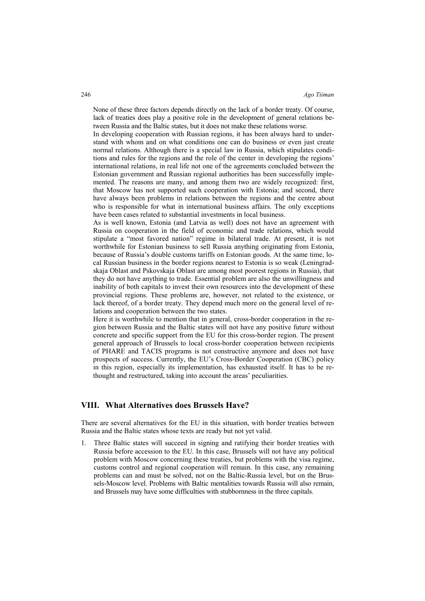None of these three factors depends directly on the lack of a border treaty. Of course, lack of treaties does play a positive role in the development of general relations between Russia and the Baltic states, but it does not make these relations worse.

In developing cooperation with Russian regions, it has been always hard to understand with whom and on what conditions one can do business or even just create normal relations. Although there is a special law in Russia, which stipulates conditions and rules for the regions and the role of the center in developing the regions' international relations, in real life not one of the agreements concluded between the Estonian government and Russian regional authorities has been successfully implemented. The reasons are many, and among them two are widely recognized: first, that Moscow has not supported such cooperation with Estonia; and second, there have always been problems in relations between the regions and the centre about who is responsible for what in international business affairs. The only exceptions have been cases related to substantial investments in local business.

As is well known, Estonia (and Latvia as well) does not have an agreement with Russia on cooperation in the field of economic and trade relations, which would stipulate a "most favored nation" regime in bilateral trade. At present, it is not worthwhile for Estonian business to sell Russia anything originating from Estonia, because of Russia's double customs tariffs on Estonian goods. At the same time, local Russian business in the border regions nearest to Estonia is so weak (Leningradskaja Oblast and Pskovskaja Oblast are among most poorest regions in Russia), that they do not have anything to trade. Essential problem are also the unwillingness and inability of both capitals to invest their own resources into the development of these provincial regions. These problems are, however, not related to the existence, or lack thereof, of a border treaty. They depend much more on the general level of relations and cooperation between the two states.

Here it is worthwhile to mention that in general, cross-border cooperation in the region between Russia and the Baltic states will not have any positive future without concrete and specific support from the EU for this cross-border region. The present general approach of Brussels to local cross-border cooperation between recipients of PHARE and TACIS programs is not constructive anymore and does not have prospects of success. Currently, the EU's Cross-Border Cooperation (CBC) policy in this region, especially its implementation, has exhausted itself. It has to be rethought and restructured, taking into account the areas' peculiarities.

#### **VIII. What Alternatives does Brussels Have?**

There are several alternatives for the EU in this situation, with border treaties between Russia and the Baltic states whose texts are ready but not yet valid.

1. Three Baltic states will succeed in signing and ratifying their border treaties with Russia before accession to the EU. In this case, Brussels will not have any political problem with Moscow concerning these treaties, but problems with the visa regime, customs control and regional cooperation will remain. In this case, any remaining problems can and must be solved, not on the Baltic-Russia level, but on the Brussels-Moscow level. Problems with Baltic mentalities towards Russia will also remain, and Brussels may have some difficulties with stubbornness in the three capitals.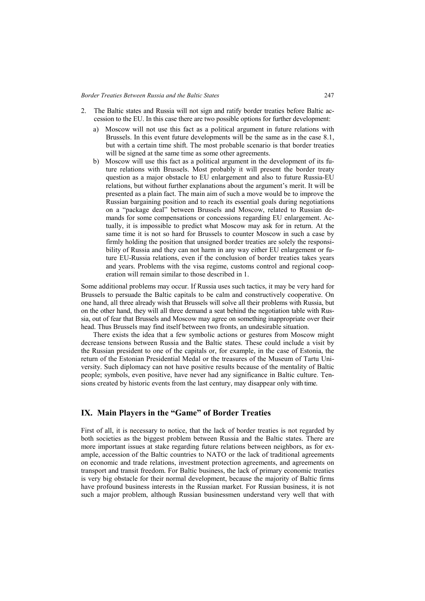#### *Border Treaties Between Russia and the Baltic States* 247

- 2. The Baltic states and Russia will not sign and ratify border treaties before Baltic accession to the EU. In this case there are two possible options for further development:
	- a) Moscow will not use this fact as a political argument in future relations with Brussels. In this event future developments will be the same as in the case 8.1, but with a certain time shift. The most probable scenario is that border treaties will be signed at the same time as some other agreements.
	- b) Moscow will use this fact as a political argument in the development of its future relations with Brussels. Most probably it will present the border treaty question as a major obstacle to EU enlargement and also to future Russia-EU relations, but without further explanations about the argument's merit. It will be presented as a plain fact. The main aim of such a move would be to improve the Russian bargaining position and to reach its essential goals during negotiations on a "package deal" between Brussels and Moscow, related to Russian demands for some compensations or concessions regarding EU enlargement. Actually, it is impossible to predict what Moscow may ask for in return. At the same time it is not so hard for Brussels to counter Moscow in such a case by firmly holding the position that unsigned border treaties are solely the responsibility of Russia and they can not harm in any way either EU enlargement or future EU-Russia relations, even if the conclusion of border treaties takes years and years. Problems with the visa regime, customs control and regional cooperation will remain similar to those described in 1.

Some additional problems may occur. If Russia uses such tactics, it may be very hard for Brussels to persuade the Baltic capitals to be calm and constructively cooperative. On one hand, all three already wish that Brussels will solve all their problems with Russia, but on the other hand, they will all three demand a seat behind the negotiation table with Russia, out of fear that Brussels and Moscow may agree on something inappropriate over their head. Thus Brussels may find itself between two fronts, an undesirable situation.

There exists the idea that a few symbolic actions or gestures from Moscow might decrease tensions between Russia and the Baltic states. These could include a visit by the Russian president to one of the capitals or, for example, in the case of Estonia, the return of the Estonian Presidential Medal or the treasures of the Museum of Tartu University. Such diplomacy can not have positive results because of the mentality of Baltic people; symbols, even positive, have never had any significance in Baltic culture. Tensions created by historic events from the last century, may disappear only with time.

### **IX. Main Players in the "Game" of Border Treaties**

First of all, it is necessary to notice, that the lack of border treaties is not regarded by both societies as the biggest problem between Russia and the Baltic states. There are more important issues at stake regarding future relations between neighbors, as for example, accession of the Baltic countries to NATO or the lack of traditional agreements on economic and trade relations, investment protection agreements, and agreements on transport and transit freedom. For Baltic business, the lack of primary economic treaties is very big obstacle for their normal development, because the majority of Baltic firms have profound business interests in the Russian market. For Russian business, it is not such a major problem, although Russian businessmen understand very well that with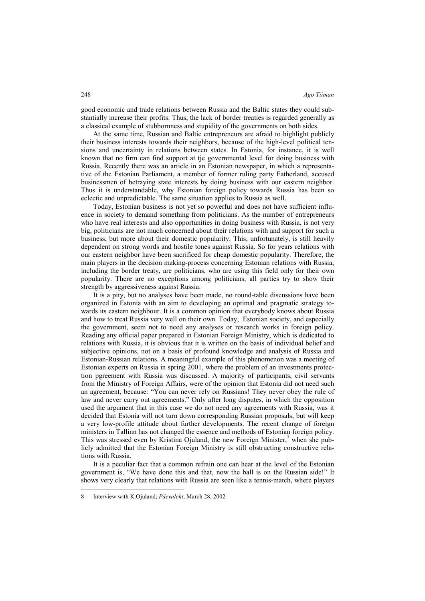good economic and trade relations between Russia and the Baltic states they could substantially increase their profits. Thus, the lack of border treaties is regarded generally as a classical example of stubbornness and stupidity of the governments on both sides.

At the same time, Russian and Baltic entrepreneurs are afraid to highlight publicly their business interests towards their neighbors, because of the high-level political tensions and uncertainty in relations between states. In Estonia, for instance, it is well known that no firm can find support at tje governmental level for doing business with Russia. Recently there was an article in an Estonian newspaper, in which a representative of the Estonian Parliament, a member of former ruling party Fatherland, accused businessmen of betraying state interests by doing business with our eastern neighbor. Thus it is understandable, why Estonian foreign policy towards Russia has been so eclectic and unpredictable. The same situation applies to Russia as well.

Today, Estonian business is not yet so powerful and does not have sufficient influence in society to demand something from politicians. As the number of entrepreneurs who have real interests and also opportunities in doing business with Russia, is not very big, politicians are not much concerned about their relations with and support for such a business, but more about their domestic popularity. This, unfortunately, is still heavily dependent on strong words and hostile tones against Russia. So for years relations with our eastern neighbor have been sacrificed for cheap domestic popularity. Therefore, the main players in the decision making-process concerning Estonian relations with Russia, including the border treaty, are politicians, who are using this field only for their own popularity. There are no exceptions among politicians; all parties try to show their strength by aggressiveness against Russia.

It is a pity, but no analyses have been made, no round-table discussions have been organized in Estonia with an aim to developing an optimal and pragmatic strategy towards its eastern neighbour. It is a common opinion that everybody knows about Russia and how to treat Russia very well on their own. Today, Estonian society, and especially the government, seem not to need any analyses or research works in foreign policy. Reading any official paper prepared in Estonian Foreign Ministry, which is dedicated to relations with Russia, it is obvious that it is written on the basis of individual belief and subjective opinions, not on a basis of profound knowledge and analysis of Russia and Estonian-Russian relations. A meaningful example of this phenomenon was a meeting of Estonian experts on Russia in spring 2001, where the problem of an investments protection pgreement with Russia was discussed. A majority of participants, civil servants from the Ministry of Foreign Affairs, were of the opinion that Estonia did not need such an agreement, because: "You can never rely on Russians! They never obey the rule of law and never carry out agreements." Only after long disputes, in which the opposition used the argument that in this case we do not need any agreements with Russia, was it decided that Estonia will not turn down corresponding Russian proposals, but will keep a very low-profile attitude about further developments. The recent change of foreign ministers in Tallinn has not changed the essence and methods of Estonian foreign policy. This was stressed even by Kristina Ojuland, the new Foreign Minister, $\frac{7}{7}$  when she publicly admitted that the Estonian Foreign Ministry is still obstructing constructive relations with Russia.

It is a peculiar fact that a common refrain one can hear at the level of the Estonian government is, "We have done this and that, now the ball is on the Russian side!" It shows very clearly that relations with Russia are seen like a tennis-match, where players

<sup>8</sup> Interview with K.Ojuland; *Päevaleht*, March 28, 2002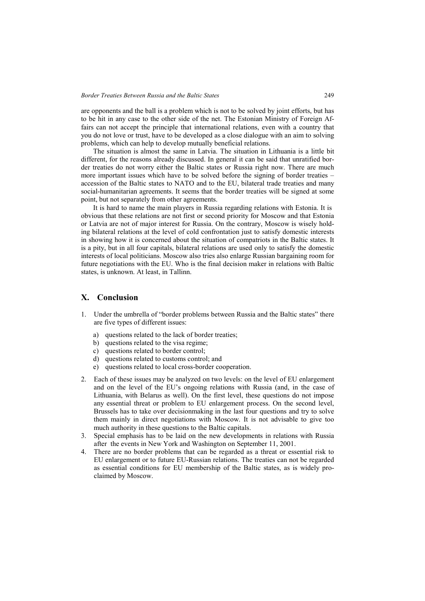are opponents and the ball is a problem which is not to be solved by joint efforts, but has to be hit in any case to the other side of the net. The Estonian Ministry of Foreign Affairs can not accept the principle that international relations, even with a country that you do not love or trust, have to be developed as a close dialogue with an aim to solving problems, which can help to develop mutually beneficial relations.

The situation is almost the same in Latvia. The situation in Lithuania is a little bit different, for the reasons already discussed. In general it can be said that unratified border treaties do not worry either the Baltic states or Russia right now. There are much more important issues which have to be solved before the signing of border treaties – accession of the Baltic states to NATO and to the EU, bilateral trade treaties and many social-humanitarian agreements. It seems that the border treaties will be signed at some point, but not separately from other agreements.

It is hard to name the main players in Russia regarding relations with Estonia. It is obvious that these relations are not first or second priority for Moscow and that Estonia or Latvia are not of major interest for Russia. On the contrary, Moscow is wisely holding bilateral relations at the level of cold confrontation just to satisfy domestic interests in showing how it is concerned about the situation of compatriots in the Baltic states. It is a pity, but in all four capitals, bilateral relations are used only to satisfy the domestic interests of local politicians. Moscow also tries also enlarge Russian bargaining room for future negotiations with the EU. Who is the final decision maker in relations with Baltic states, is unknown. At least, in Tallinn.

### **X. Conclusion**

- 1. Under the umbrella of "border problems between Russia and the Baltic states" there are five types of different issues:
	- a) questions related to the lack of border treaties;
	- b) questions related to the visa regime;
	- c) questions related to border control;
	- d) questions related to customs control; and
	- e) questions related to local cross-border cooperation.
- 2. Each of these issues may be analyzed on two levels: on the level of EU enlargement and on the level of the EU's ongoing relations with Russia (and, in the case of Lithuania, with Belarus as well). On the first level, these questions do not impose any essential threat or problem to EU enlargement process. On the second level, Brussels has to take over decisionmaking in the last four questions and try to solve them mainly in direct negotiations with Moscow. It is not advisable to give too much authority in these questions to the Baltic capitals.
- 3. Special emphasis has to be laid on the new developments in relations with Russia after the events in New York and Washington on September 11, 2001.
- 4. There are no border problems that can be regarded as a threat or essential risk to EU enlargement or to future EU-Russian relations. The treaties can not be regarded as essential conditions for EU membership of the Baltic states, as is widely proclaimed by Moscow.